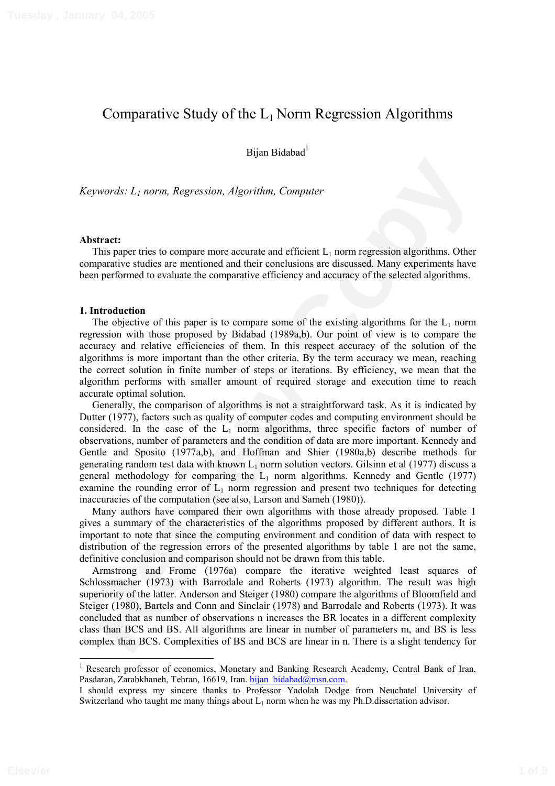# Comparative Study of the  $L_1$  Norm Regression Algorithms

Bijan Bidabad<sup>1</sup>

*Keywords: L1 norm, Regression, Algorithm, Computer* 

### **Abstract:**

This paper tries to compare more accurate and efficient  $L_1$  norm regression algorithms. Other comparative studies are mentioned and their conclusions are discussed. Many experiments have been performed to evaluate the comparative efficiency and accuracy of the selected algorithms.

## **1. Introduction**

The objective of this paper is to compare some of the existing algorithms for the  $L_1$  norm regression with those proposed by Bidabad (1989a,b). Our point of view is to compare the accuracy and relative efficiencies of them. In this respect accuracy of the solution of the algorithms is more important than the other criteria. By the term accuracy we mean, reaching the correct solution in finite number of steps or iterations. By efficiency, we mean that the algorithm performs with smaller amount of required storage and execution time to reach accurate optimal solution.

*Keywords: 1., norm, Regression, Algorithm, Computer*<br> **Abstract:**<br>
This paper lives to compute more accurate and efficient  $I_n$  norm regression algorithms. Other<br>
This paper lives to compute more accurate and efficient Generally, the comparison of algorithms is not a straightforward task. As it is indicated by Dutter (1977), factors such as quality of computer codes and computing environment should be considered. In the case of the  $L_1$  norm algorithms, three specific factors of number of observations, number of parameters and the condition of data are more important. Kennedy and Gentle and Sposito (1977a,b), and Hoffman and Shier (1980a,b) describe methods for generating random test data with known  $L_1$  norm solution vectors. Gilsinn et al (1977) discuss a general methodology for comparing the  $L_1$  norm algorithms. Kennedy and Gentle (1977) examine the rounding error of  $L_1$  norm regression and present two techniques for detecting inaccuracies of the computation (see also, Larson and Sameh (1980)).

Many authors have compared their own algorithms with those already proposed. Table 1 gives a summary of the characteristics of the algorithms proposed by different authors. It is important to note that since the computing environment and condition of data with respect to distribution of the regression errors of the presented algorithms by table 1 are not the same, definitive conclusion and comparison should not be drawn from this table.

Armstrong and Frome (1976a) compare the iterative weighted least squares of Schlossmacher (1973) with Barrodale and Roberts (1973) algorithm. The result was high superiority of the latter. Anderson and Steiger (1980) compare the algorithms of Bloomfield and Steiger (1980), Bartels and Conn and Sinclair (1978) and Barrodale and Roberts (1973). It was concluded that as number of observations n increases the BR locates in a different complexity class than BCS and BS. All algorithms are linear in number of parameters m, and BS is less complex than BCS. Complexities of BS and BCS are linear in n. There is a slight tendency for

<sup>&</sup>lt;sup>1</sup> Research professor of economics, Monetary and Banking Research Academy, Central Bank of Iran, Pasdaran, Zarabkhaneh, Tehran, 16619, Iran. bijan bidabad@msn.com.

I should express my sincere thanks to Professor Yadolah Dodge from Neuchatel University of Switzerland who taught me many things about  $L_1$  norm when he was my Ph.D.dissertation advisor.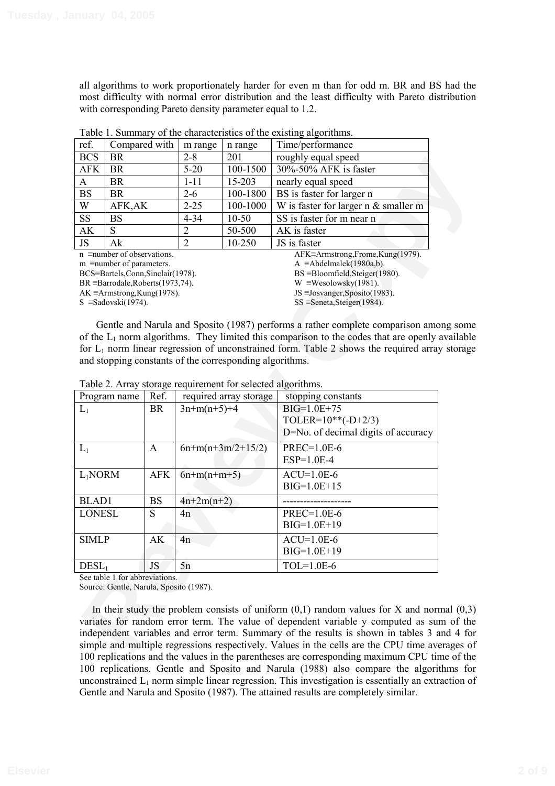all algorithms to work proportionately harder for even m than for odd m. BR and BS had the most difficulty with normal error distribution and the least difficulty with Pareto distribution with corresponding Pareto density parameter equal to 1.2.

| ref.                                | Compared with                      | m range        | n range                      | Time/performance                             |  |
|-------------------------------------|------------------------------------|----------------|------------------------------|----------------------------------------------|--|
| <b>BCS</b>                          | <b>BR</b>                          | $2 - 8$        | 201                          | roughly equal speed                          |  |
| <b>AFK</b>                          | BR.                                | $5-20$         | 100-1500                     | 30%-50% AFK is faster                        |  |
| A                                   | <b>BR</b>                          | 1-11           | 15-203                       | nearly equal speed                           |  |
| <b>BS</b>                           | <b>BR</b>                          | $2 - 6$        | 100-1800                     | BS is faster for larger n                    |  |
| W                                   | AFK,AK                             | $2 - 25$       | 100-1000                     | W is faster for larger $n \&$ smaller m      |  |
| <b>SS</b>                           | BS                                 | $4 - 34$       | $10-50$                      | SS is faster for m near n                    |  |
| AK                                  | S                                  | 2              | 50-500                       | AK is faster                                 |  |
| <b>JS</b>                           | Ak                                 | $\overline{2}$ | 10-250                       | JS is faster                                 |  |
|                                     | $n \equiv$ number of observations. |                |                              | $AFK \equiv$ Armstrong,Frome, $Kung(1979)$ . |  |
|                                     | $m \equiv$ number of parameters.   |                |                              | $A \equiv$ Abdelmalek $(1980a,b)$ .          |  |
|                                     | BCS=Bartels,Conn,Sinclair(1978).   |                |                              | $BS = Bloomfield, Steiger(1980)$ .           |  |
| $BR = Barrodale, Roberts(1973,74).$ |                                    |                | $W \equiv$ Wesolowsky(1981). |                                              |  |
|                                     | AK $\equiv$ Armstrong,Kung(1978).  |                |                              | JS $\equiv$ Josvanger, Sposito(1983).        |  |
|                                     | $S = Sadoski(1974)$ .              |                |                              | $SS =$ Seneta, Steiger(1984).                |  |

Table 1. Summary of the characteristics of the existing algorithms.

| טשע                                                                                                                                                                                                                                                                                                                                                                                                                                                                                                                                                                                                                                                                                                                                                                                                  | DК                                      |              | ∠−ο            | ∠∪⊥                    | Toughty equal speed                                                                           |  |
|------------------------------------------------------------------------------------------------------------------------------------------------------------------------------------------------------------------------------------------------------------------------------------------------------------------------------------------------------------------------------------------------------------------------------------------------------------------------------------------------------------------------------------------------------------------------------------------------------------------------------------------------------------------------------------------------------------------------------------------------------------------------------------------------------|-----------------------------------------|--------------|----------------|------------------------|-----------------------------------------------------------------------------------------------|--|
| AFK                                                                                                                                                                                                                                                                                                                                                                                                                                                                                                                                                                                                                                                                                                                                                                                                  | <b>BR</b>                               |              | $5-20$         | 100-1500               | 30%-50% AFK is faster                                                                         |  |
| A                                                                                                                                                                                                                                                                                                                                                                                                                                                                                                                                                                                                                                                                                                                                                                                                    | <b>BR</b>                               |              | $1 - 11$       | 15-203                 | nearly equal speed                                                                            |  |
| <b>BS</b>                                                                                                                                                                                                                                                                                                                                                                                                                                                                                                                                                                                                                                                                                                                                                                                            | <b>BR</b>                               |              | $2 - 6$        | 100-1800               | BS is faster for larger n                                                                     |  |
| W                                                                                                                                                                                                                                                                                                                                                                                                                                                                                                                                                                                                                                                                                                                                                                                                    | AFK, AK                                 |              | $2 - 25$       | 100-1000               | W is faster for larger n & smaller m                                                          |  |
| SS                                                                                                                                                                                                                                                                                                                                                                                                                                                                                                                                                                                                                                                                                                                                                                                                   | <b>BS</b>                               |              | $4 - 34$       | $10 - 50$              | SS is faster for m near n                                                                     |  |
| AK                                                                                                                                                                                                                                                                                                                                                                                                                                                                                                                                                                                                                                                                                                                                                                                                   | ${\bf S}$                               |              | $\overline{2}$ | 50-500                 | AK is faster                                                                                  |  |
| JS                                                                                                                                                                                                                                                                                                                                                                                                                                                                                                                                                                                                                                                                                                                                                                                                   | Ak                                      |              | $\overline{2}$ | 10-250                 | JS is faster                                                                                  |  |
| AFK=Armstrong,Frome,Kung(1979).<br>$n \equiv$ number of observations.<br>$A \equiv$ Abdelmalek(1980a,b).<br>$m \equiv$ number of parameters.<br>BCS=Bartels,Conn,Sinclair(1978).<br>$BS = Bloomfield, Steiger(1980).$<br>$BR \equiv Barrodale, Roberts(1973,74).$<br>W =Wesolowsky $(1981)$ .<br>JS $\equiv$ Josvanger, Sposito(1983).<br>$AK \equiv$ Armstrong,Kung(1978).<br>$SS =$ Seneta, Steiger(1984).<br>S = Sadovski $(1974)$ .<br>Gentle and Narula and Sposito (1987) performs a rather complete comparison among some<br>of the $L_1$ norm algorithms. They limited this comparison to the codes that are openly available<br>for $L_1$ norm linear regression of unconstrained form. Table 2 shows the required array storage<br>and stopping constants of the corresponding algorithms. |                                         |              |                |                        |                                                                                               |  |
|                                                                                                                                                                                                                                                                                                                                                                                                                                                                                                                                                                                                                                                                                                                                                                                                      |                                         |              |                |                        | Table 2. Array storage requirement for selected algorithms.                                   |  |
|                                                                                                                                                                                                                                                                                                                                                                                                                                                                                                                                                                                                                                                                                                                                                                                                      | Program name                            | Ref.         |                | required array storage | stopping constants                                                                            |  |
| $L_1$                                                                                                                                                                                                                                                                                                                                                                                                                                                                                                                                                                                                                                                                                                                                                                                                |                                         | <b>BR</b>    | $3n+m(n+5)+4$  |                        | $\overline{BIG} = 1.0E + 75$                                                                  |  |
|                                                                                                                                                                                                                                                                                                                                                                                                                                                                                                                                                                                                                                                                                                                                                                                                      |                                         |              |                |                        | TOLER= $10**(-D+2/3)$                                                                         |  |
|                                                                                                                                                                                                                                                                                                                                                                                                                                                                                                                                                                                                                                                                                                                                                                                                      |                                         |              |                |                        | D=No. of decimal digits of accuracy                                                           |  |
| $L_1$                                                                                                                                                                                                                                                                                                                                                                                                                                                                                                                                                                                                                                                                                                                                                                                                |                                         | $\mathbf{A}$ |                | $6n+m(n+3m/2+15/2)$    | PREC=1.0E-6                                                                                   |  |
|                                                                                                                                                                                                                                                                                                                                                                                                                                                                                                                                                                                                                                                                                                                                                                                                      |                                         |              |                |                        | $ESP=1.0E-4$                                                                                  |  |
| $L_1NORM$                                                                                                                                                                                                                                                                                                                                                                                                                                                                                                                                                                                                                                                                                                                                                                                            |                                         | <b>AFK</b>   | $6n+m(n+m+5)$  |                        | $ACU=1.0E-6$                                                                                  |  |
|                                                                                                                                                                                                                                                                                                                                                                                                                                                                                                                                                                                                                                                                                                                                                                                                      |                                         |              |                |                        | $BIG=1.0E+15$                                                                                 |  |
| <b>BLAD1</b>                                                                                                                                                                                                                                                                                                                                                                                                                                                                                                                                                                                                                                                                                                                                                                                         |                                         | <b>BS</b>    | $4n+2m(n+2)$   |                        |                                                                                               |  |
| <b>LONESL</b>                                                                                                                                                                                                                                                                                                                                                                                                                                                                                                                                                                                                                                                                                                                                                                                        |                                         | S            | 4n             |                        | PREC=1.0E-6                                                                                   |  |
|                                                                                                                                                                                                                                                                                                                                                                                                                                                                                                                                                                                                                                                                                                                                                                                                      |                                         |              |                |                        | $BIG=1.0E+19$                                                                                 |  |
| <b>SIMLP</b>                                                                                                                                                                                                                                                                                                                                                                                                                                                                                                                                                                                                                                                                                                                                                                                         |                                         | AK           | 4n             |                        | $ACU=1.0E-6$                                                                                  |  |
|                                                                                                                                                                                                                                                                                                                                                                                                                                                                                                                                                                                                                                                                                                                                                                                                      |                                         |              |                |                        | BIG=1.0E+19                                                                                   |  |
| $DESL_1$                                                                                                                                                                                                                                                                                                                                                                                                                                                                                                                                                                                                                                                                                                                                                                                             |                                         | JS           | 5n             |                        | $TOL=1.0E-6$                                                                                  |  |
|                                                                                                                                                                                                                                                                                                                                                                                                                                                                                                                                                                                                                                                                                                                                                                                                      | See table 1 for abbreviations.          |              |                |                        |                                                                                               |  |
|                                                                                                                                                                                                                                                                                                                                                                                                                                                                                                                                                                                                                                                                                                                                                                                                      | Source: Gentle, Narula, Sposito (1987). |              |                |                        |                                                                                               |  |
|                                                                                                                                                                                                                                                                                                                                                                                                                                                                                                                                                                                                                                                                                                                                                                                                      |                                         |              |                |                        |                                                                                               |  |
|                                                                                                                                                                                                                                                                                                                                                                                                                                                                                                                                                                                                                                                                                                                                                                                                      |                                         |              |                |                        | In their study the problem consists of uniform $(0,1)$ random values for X and normal $(0,3)$ |  |
|                                                                                                                                                                                                                                                                                                                                                                                                                                                                                                                                                                                                                                                                                                                                                                                                      |                                         |              |                |                        | variates for random error term. The value of dependent variable y computed as sum of the      |  |
|                                                                                                                                                                                                                                                                                                                                                                                                                                                                                                                                                                                                                                                                                                                                                                                                      |                                         |              |                |                        | independent variables and error term. Summary of the results is shown in tables 3 and 4 for   |  |
| simple and multiple regressions respectively. Values in the cells are the CPU time averages of                                                                                                                                                                                                                                                                                                                                                                                                                                                                                                                                                                                                                                                                                                       |                                         |              |                |                        |                                                                                               |  |

Table 2. Array storage requirement for selected algorithms.

In their study the problem consists of uniform  $(0,1)$  random values for X and normal  $(0,3)$ variates for random error term. The value of dependent variable y computed as sum of the independent variables and error term. Summary of the results is shown in tables 3 and 4 for simple and multiple regressions respectively. Values in the cells are the CPU time averages of 100 replications and the values in the parentheses are corresponding maximum CPU time of the 100 replications. Gentle and Sposito and Narula (1988) also compare the algorithms for unconstrained  $L_1$  norm simple linear regression. This investigation is essentially an extraction of Gentle and Narula and Sposito (1987). The attained results are completely similar.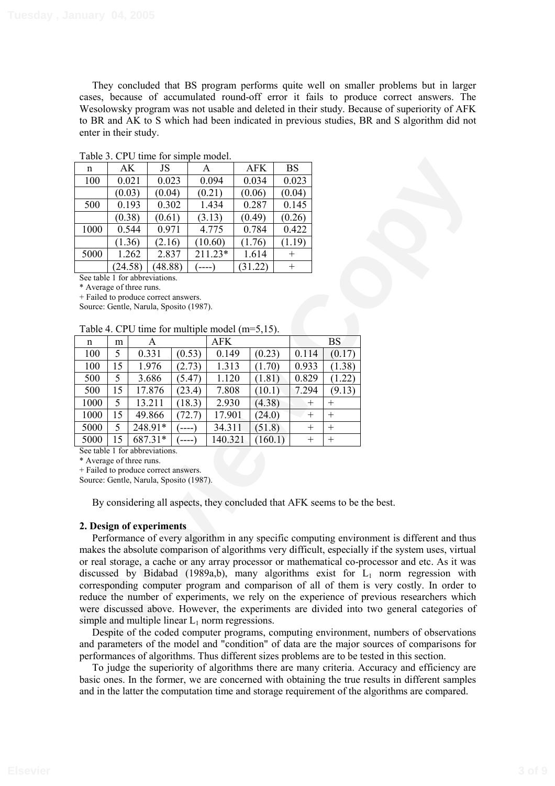They concluded that BS program performs quite well on smaller problems but in larger cases, because of accumulated round-off error it fails to produce correct answers. The Wesolowsky program was not usable and deleted in their study. Because of superiority of AFK to BR and AK to S which had been indicated in previous studies, BR and S algorithm did not enter in their study.

| n    | AK      | JS      | Α       | <b>AFK</b> | <b>BS</b> |
|------|---------|---------|---------|------------|-----------|
| 100  | 0.021   | 0.023   | 0.094   | 0.034      | 0.023     |
|      | (0.03)  | (0.04)  | (0.21)  | (0.06)     | (0.04)    |
| 500  | 0.193   | 0.302   | 1.434   | 0.287      | 0.145     |
|      | (0.38)  | (0.61)  | (3.13)  | (0.49)     | (0.26)    |
| 1000 | 0.544   | 0.971   | 4.775   | 0.784      | 0.422     |
|      | (1.36)  | (2.16)  | (10.60) | (1.76)     | (1.19)    |
| 5000 | 1.262   | 2.837   | 211.23* | 1.614      | $^+$      |
|      | (24.58) | (48.88) |         | (31.22)    | $^+$      |

Table 3. CPU time for simple model.

See table 1 for abbreviations.

\* Average of three runs.

+ Failed to produce correct answers.

Source: Gentle, Narula, Sposito (1987).

#### Table 4. CPU time for multiple model (m=5,15).

| n    | m  | Α       |        | <b>AFK</b> |         |        | <b>BS</b> |
|------|----|---------|--------|------------|---------|--------|-----------|
| 100  | 5  | 0.331   | (0.53) | 0.149      | (0.23)  | 0.114  | (0.17)    |
| 100  | 15 | 1.976   | (2.73) | 1.313      | (1.70)  | 0.933  | (1.38)    |
| 500  | 5  | 3.686   | (5.47) | 1.120      | (1.81)  | 0.829  | (1.22)    |
| 500  | 15 | 17.876  | (23.4) | 7.808      | (10.1)  | 7.294  | (9.13)    |
| 1000 | 5  | 13.211  | (18.3) | 2.930      | (4.38)  | $^{+}$ | $^{+}$    |
| 1000 | 15 | 49.866  | (72.7) | 17.901     | (24.0)  | $^{+}$ | $^{+}$    |
| 5000 | 5  | 248.91* | -----  | 34.311     | (51.8)  | $^{+}$ | $^{+}$    |
| 5000 | 15 | 687.31* |        | 140.321    | (160.1) | $^{+}$ | $^{+}$    |

See table 1 for abbreviations.

\* Average of three runs.

+ Failed to produce correct answers.

Source: Gentle, Narula, Sposito (1987).

By considering all aspects, they concluded that AFK seems to be the best.

## **2. Design of experiments**

**Review Copy** Performance of every algorithm in any specific computing environment is different and thus makes the absolute comparison of algorithms very difficult, especially if the system uses, virtual or real storage, a cache or any array processor or mathematical co-processor and etc. As it was discussed by Bidabad (1989a,b), many algorithms exist for  $L_1$  norm regression with corresponding computer program and comparison of all of them is very costly. In order to reduce the number of experiments, we rely on the experience of previous researchers which were discussed above. However, the experiments are divided into two general categories of simple and multiple linear  $L_1$  norm regressions.

Despite of the coded computer programs, computing environment, numbers of observations and parameters of the model and "condition" of data are the major sources of comparisons for performances of algorithms. Thus different sizes problems are to be tested in this section.

To judge the superiority of algorithms there are many criteria. Accuracy and efficiency are basic ones. In the former, we are concerned with obtaining the true results in different samples and in the latter the computation time and storage requirement of the algorithms are compared.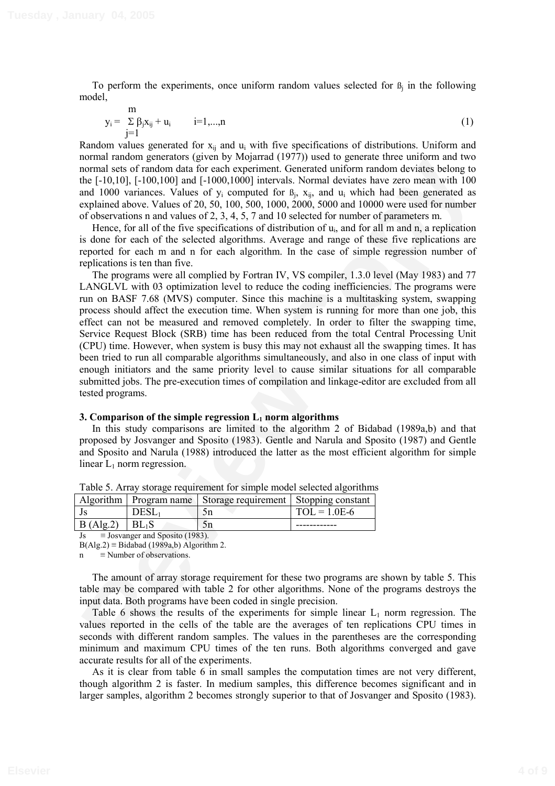To perform the experiments, once uniform random values selected for  $\beta_i$  in the following model,

$$
y_{i} = \sum_{j=1}^{m} \beta_{j} x_{ij} + u_{i} \qquad i=1,...,n
$$
 (1)

Random values generated for  $x_{ii}$  and  $u_i$  with five specifications of distributions. Uniform and normal random generators (given by Mojarrad (1977)) used to generate three uniform and two normal sets of random data for each experiment. Generated uniform random deviates belong to the [-10,10], [-100,100] and [-1000,1000] intervals. Normal deviates have zero mean with 100 and 1000 variances. Values of  $y_i$  computed for  $B_i$ ,  $x_{ij}$ , and  $u_i$  which had been generated as explained above. Values of 20, 50, 100, 500, 1000, 2000, 5000 and 10000 were used for number of observations n and values of 2, 3, 4, 5, 7 and 10 selected for number of parameters m.

Hence, for all of the five specifications of distribution of  $u_i$ , and for all m and n, a replication is done for each of the selected algorithms. Average and range of these five replications are reported for each m and n for each algorithm. In the case of simple regression number of replications is ten than five.

normal mandro generators generation and the simple causar (1977) toward with the action of the maniform of the simple of the simple of the simple of the simple of the simple of the simple of the simple of the simple of the The programs were all complied by Fortran IV, VS compiler, 1.3.0 level (May 1983) and 77 LANGLVL with 03 optimization level to reduce the coding inefficiencies. The programs were run on BASF 7.68 (MVS) computer. Since this machine is a multitasking system, swapping process should affect the execution time. When system is running for more than one job, this effect can not be measured and removed completely. In order to filter the swapping time, Service Request Block (SRB) time has been reduced from the total Central Processing Unit (CPU) time. However, when system is busy this may not exhaust all the swapping times. It has been tried to run all comparable algorithms simultaneously, and also in one class of input with enough initiators and the same priority level to cause similar situations for all comparable submitted jobs. The pre-execution times of compilation and linkage-editor are excluded from all tested programs.

## **3. Comparison of the simple regression L<sub>1</sub> norm algorithms**

In this study comparisons are limited to the algorithm 2 of Bidabad (1989a,b) and that proposed by Josvanger and Sposito (1983). Gentle and Narula and Sposito (1987) and Gentle and Sposito and Narula (1988) introduced the latter as the most efficient algorithm for simple linear  $L_1$  norm regression.

|          |       | Algorithm   Program name   Storage requirement   Stopping constant |                |
|----------|-------|--------------------------------------------------------------------|----------------|
|          | 'JESL |                                                                    | $TOL = 1.0E-6$ |
| B(Alg.2) |       |                                                                    |                |
|          | . .   |                                                                    |                |

Table 5. Array storage requirement for simple model selected algorithms

 $Js = Josvanger and Sposito (1983).$ 

 $B(A|g.2) \equiv B$ idabad (1989a,b) Algorithm 2.

 $\equiv$  Number of observations.

The amount of array storage requirement for these two programs are shown by table 5. This table may be compared with table 2 for other algorithms. None of the programs destroys the input data. Both programs have been coded in single precision.

Table 6 shows the results of the experiments for simple linear  $L_1$  norm regression. The values reported in the cells of the table are the averages of ten replications CPU times in seconds with different random samples. The values in the parentheses are the corresponding minimum and maximum CPU times of the ten runs. Both algorithms converged and gave accurate results for all of the experiments.

As it is clear from table 6 in small samples the computation times are not very different, though algorithm 2 is faster. In medium samples, this difference becomes significant and in larger samples, algorithm 2 becomes strongly superior to that of Josvanger and Sposito (1983).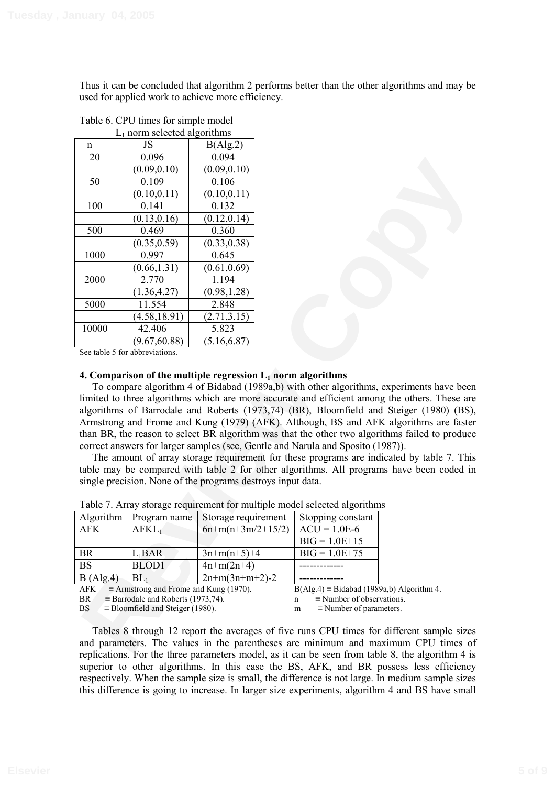Thus it can be concluded that algorithm 2 performs better than the other algorithms and may be used for applied work to achieve more efficiency.

|                                                                                                                                                                                                                                                                                                                                                                                                                                                                                                                                                                                                                                                                                                                                                                                                                                                                                                                                                                           | $L_1$ norm selected algorithms                                                            |                     |                                                                                    |  |  |  |  |
|---------------------------------------------------------------------------------------------------------------------------------------------------------------------------------------------------------------------------------------------------------------------------------------------------------------------------------------------------------------------------------------------------------------------------------------------------------------------------------------------------------------------------------------------------------------------------------------------------------------------------------------------------------------------------------------------------------------------------------------------------------------------------------------------------------------------------------------------------------------------------------------------------------------------------------------------------------------------------|-------------------------------------------------------------------------------------------|---------------------|------------------------------------------------------------------------------------|--|--|--|--|
| n                                                                                                                                                                                                                                                                                                                                                                                                                                                                                                                                                                                                                                                                                                                                                                                                                                                                                                                                                                         | JS                                                                                        | B(Alg.2)            |                                                                                    |  |  |  |  |
| 20                                                                                                                                                                                                                                                                                                                                                                                                                                                                                                                                                                                                                                                                                                                                                                                                                                                                                                                                                                        | 0.096                                                                                     | 0.094               |                                                                                    |  |  |  |  |
|                                                                                                                                                                                                                                                                                                                                                                                                                                                                                                                                                                                                                                                                                                                                                                                                                                                                                                                                                                           | (0.09, 0.10)                                                                              | (0.09, 0.10)        |                                                                                    |  |  |  |  |
| 50                                                                                                                                                                                                                                                                                                                                                                                                                                                                                                                                                                                                                                                                                                                                                                                                                                                                                                                                                                        | 0.109                                                                                     | 0.106               |                                                                                    |  |  |  |  |
|                                                                                                                                                                                                                                                                                                                                                                                                                                                                                                                                                                                                                                                                                                                                                                                                                                                                                                                                                                           | (0.10, 0.11)                                                                              | (0.10, 0.11)        |                                                                                    |  |  |  |  |
| 100                                                                                                                                                                                                                                                                                                                                                                                                                                                                                                                                                                                                                                                                                                                                                                                                                                                                                                                                                                       | 0.141                                                                                     | 0.132               |                                                                                    |  |  |  |  |
|                                                                                                                                                                                                                                                                                                                                                                                                                                                                                                                                                                                                                                                                                                                                                                                                                                                                                                                                                                           | (0.13, 0.16)                                                                              | (0.12, 0.14)        |                                                                                    |  |  |  |  |
| 500                                                                                                                                                                                                                                                                                                                                                                                                                                                                                                                                                                                                                                                                                                                                                                                                                                                                                                                                                                       | 0.469                                                                                     | 0.360               |                                                                                    |  |  |  |  |
|                                                                                                                                                                                                                                                                                                                                                                                                                                                                                                                                                                                                                                                                                                                                                                                                                                                                                                                                                                           | (0.35, 0.59)                                                                              | (0.33, 0.38)        |                                                                                    |  |  |  |  |
| 1000                                                                                                                                                                                                                                                                                                                                                                                                                                                                                                                                                                                                                                                                                                                                                                                                                                                                                                                                                                      | 0.997                                                                                     | 0.645               |                                                                                    |  |  |  |  |
|                                                                                                                                                                                                                                                                                                                                                                                                                                                                                                                                                                                                                                                                                                                                                                                                                                                                                                                                                                           | (0.66, 1.31)                                                                              | (0.61, 0.69)        |                                                                                    |  |  |  |  |
| 2000                                                                                                                                                                                                                                                                                                                                                                                                                                                                                                                                                                                                                                                                                                                                                                                                                                                                                                                                                                      | 2.770                                                                                     | 1.194               |                                                                                    |  |  |  |  |
|                                                                                                                                                                                                                                                                                                                                                                                                                                                                                                                                                                                                                                                                                                                                                                                                                                                                                                                                                                           | (1.36, 4.27)                                                                              | (0.98, 1.28)        |                                                                                    |  |  |  |  |
| 5000                                                                                                                                                                                                                                                                                                                                                                                                                                                                                                                                                                                                                                                                                                                                                                                                                                                                                                                                                                      | 11.554                                                                                    | 2.848               |                                                                                    |  |  |  |  |
|                                                                                                                                                                                                                                                                                                                                                                                                                                                                                                                                                                                                                                                                                                                                                                                                                                                                                                                                                                           | (4.58, 18.91)                                                                             | (2.71, 3.15)        |                                                                                    |  |  |  |  |
| 10000                                                                                                                                                                                                                                                                                                                                                                                                                                                                                                                                                                                                                                                                                                                                                                                                                                                                                                                                                                     | 42.406                                                                                    | 5.823               |                                                                                    |  |  |  |  |
|                                                                                                                                                                                                                                                                                                                                                                                                                                                                                                                                                                                                                                                                                                                                                                                                                                                                                                                                                                           | (9.67, 60.88)                                                                             | (5.16, 6.87)        |                                                                                    |  |  |  |  |
|                                                                                                                                                                                                                                                                                                                                                                                                                                                                                                                                                                                                                                                                                                                                                                                                                                                                                                                                                                           | See table 5 for abbreviations.                                                            |                     |                                                                                    |  |  |  |  |
| 4. Comparison of the multiple regression $L_1$ norm algorithms<br>To compare algorithm 4 of Bidabad (1989a,b) with other algorithms, experiments have been<br>limited to three algorithms which are more accurate and efficient among the others. These are<br>algorithms of Barrodale and Roberts (1973,74) (BR), Bloomfield and Steiger (1980) (BS),<br>Armstrong and Frome and Kung (1979) (AFK). Although, BS and AFK algorithms are faster<br>than BR, the reason to select BR algorithm was that the other two algorithms failed to produce<br>correct answers for larger samples (see, Gentle and Narula and Sposito (1987)).<br>The amount of array storage requirement for these programs are indicated by table 7. This<br>table may be compared with table 2 for other algorithms. All programs have been coded in<br>single precision. None of the programs destroys input data.<br>Table 7. Array storage requirement for multiple model selected algorithms |                                                                                           |                     |                                                                                    |  |  |  |  |
| Algorithm                                                                                                                                                                                                                                                                                                                                                                                                                                                                                                                                                                                                                                                                                                                                                                                                                                                                                                                                                                 | Program name                                                                              | Storage requirement | Stopping constant                                                                  |  |  |  |  |
| <b>AFK</b>                                                                                                                                                                                                                                                                                                                                                                                                                                                                                                                                                                                                                                                                                                                                                                                                                                                                                                                                                                | $AFKL_1$                                                                                  | $6n+m(n+3m/2+15/2)$ | $ACU = 1.0E-6$                                                                     |  |  |  |  |
|                                                                                                                                                                                                                                                                                                                                                                                                                                                                                                                                                                                                                                                                                                                                                                                                                                                                                                                                                                           |                                                                                           |                     | $BIG = 1.0E + 15$                                                                  |  |  |  |  |
| <b>BR</b>                                                                                                                                                                                                                                                                                                                                                                                                                                                                                                                                                                                                                                                                                                                                                                                                                                                                                                                                                                 | $L_1$ BAR                                                                                 | $3n+m(n+5)+4$       | $BIG = 1.0E + 75$                                                                  |  |  |  |  |
| <b>BS</b>                                                                                                                                                                                                                                                                                                                                                                                                                                                                                                                                                                                                                                                                                                                                                                                                                                                                                                                                                                 | BLOD1                                                                                     | $4n+m(2n+4)$        |                                                                                    |  |  |  |  |
| B(Alg.4)                                                                                                                                                                                                                                                                                                                                                                                                                                                                                                                                                                                                                                                                                                                                                                                                                                                                                                                                                                  | $BL_1$                                                                                    | $2n+m(3n+m+2)-2$    |                                                                                    |  |  |  |  |
| AFK<br>$\equiv$ Armstrong and Frome and Kung (1970).<br>$B(Alg.4) \equiv Bidabad (1989a,b) Algorithm 4.$<br><b>BR</b><br>$\equiv$ Barrodale and Roberts (1973,74).<br>$\equiv$ Number of observations.<br>n<br><b>BS</b><br>$\equiv$ Bloomfield and Steiger (1980).<br>$\equiv$ Number of parameters.<br>m                                                                                                                                                                                                                                                                                                                                                                                                                                                                                                                                                                                                                                                                |                                                                                           |                     |                                                                                    |  |  |  |  |
|                                                                                                                                                                                                                                                                                                                                                                                                                                                                                                                                                                                                                                                                                                                                                                                                                                                                                                                                                                           | Tables 8 through 12 report the averages of five runs CPU times for different sample sizes |                     |                                                                                    |  |  |  |  |
|                                                                                                                                                                                                                                                                                                                                                                                                                                                                                                                                                                                                                                                                                                                                                                                                                                                                                                                                                                           |                                                                                           |                     | and parameters. The values in the parentheses are minimum and maximum CPU times of |  |  |  |  |

Table 6. CPU times for simple model

## **4. Comparison of the multiple regression**  $L_1$  **norm algorithms**

| Algorithm                                                   | Program name                                     | Storage requirement | Stopping constant                |  |
|-------------------------------------------------------------|--------------------------------------------------|---------------------|----------------------------------|--|
| <b>AFK</b>                                                  | $AFKL_1$                                         | $6n+m(n+3m/2+15/2)$ | $\Delta CU = 1.0E-6$             |  |
|                                                             |                                                  |                     | $BIG = 1.0E + 15$                |  |
| <b>BR</b>                                                   | $L_1$ BAR                                        | $3n+m(n+5)+4$       | $BIG = 1.0E + 75$                |  |
| <b>BS</b>                                                   | BLOD1                                            | $4n+m(2n+4)$        |                                  |  |
| B(Alg.4)                                                    | BL <sub>1</sub>                                  | $2n+m(3n+m+2)-2$    |                                  |  |
| $\equiv$ Armstrong and Frome and Kung (1970).<br><b>AFK</b> | $B(A g.4) \equiv Bidabad (1989a,b) Algorithm 4.$ |                     |                                  |  |
| <b>BR</b>                                                   | $\equiv$ Barrodale and Roberts (1973,74).        |                     | $\equiv$ Number of observations. |  |

Table 7. Array storage requirement for multiple model selected algorithms

Tables 8 through 12 report the averages of five runs CPU times for different sample sizes and parameters. The values in the parentheses are minimum and maximum CPU times of replications. For the three parameters model, as it can be seen from table 8, the algorithm 4 is superior to other algorithms. In this case the BS, AFK, and BR possess less efficiency respectively. When the sample size is small, the difference is not large. In medium sample sizes this difference is going to increase. In larger size experiments, algorithm 4 and BS have small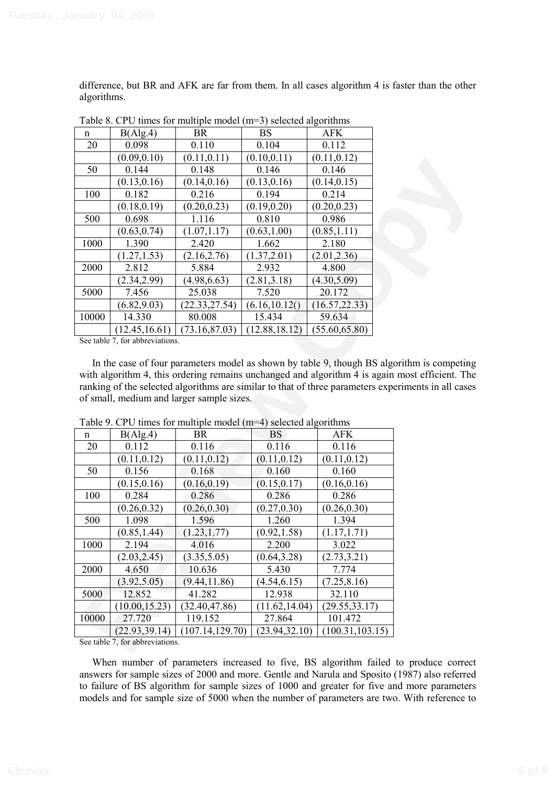difference, but BR and AFK are far from them. In all cases algorithm 4 is faster than the other algorithms.

| $14000$ of CFC throw for managed moder (in $\beta$ ) selected argorithms |                |                |                |                |  |  |  |
|--------------------------------------------------------------------------|----------------|----------------|----------------|----------------|--|--|--|
| n                                                                        | B(Alg.4)       | <b>BR</b>      | <b>BS</b>      | AFK            |  |  |  |
| 20                                                                       | 0.098          | 0.110          | 0.104          | 0.112          |  |  |  |
|                                                                          | (0.09, 0.10)   | (0.11, 0.11)   | (0.10, 0.11)   | (0.11, 0.12)   |  |  |  |
| 50                                                                       | 0.144          | 0.148          | 0.146          | 0.146          |  |  |  |
|                                                                          | (0.13, 0.16)   | (0.14, 0.16)   | (0.13, 0.16)   | (0.14, 0.15)   |  |  |  |
| 100                                                                      | 0.182          | 0.216          | 0.194          | 0.214          |  |  |  |
|                                                                          | (0.18, 0.19)   | (0.20, 0.23)   | (0.19, 0.20)   | (0.20, 0.23)   |  |  |  |
| 500                                                                      | 0.698          | 1.116          | 0.810          | 0.986          |  |  |  |
|                                                                          | (0.63, 0.74)   | (1.07, 1.17)   | (0.63, 1.00)   | (0.85, 1.11)   |  |  |  |
| 1000                                                                     | 1.390          | 2.420          | 1.662          | 2.180          |  |  |  |
|                                                                          | (1.27, 1.53)   | (2.16, 2.76)   | (1.37, 2.01)   | (2.01, 2.36)   |  |  |  |
| 2000                                                                     | 2.812          | 5.884          | 2.932          | 4.800          |  |  |  |
|                                                                          | (2.34, 2.99)   | (4.98, 6.63)   | (2.81, 3.18)   | (4.30, 5.09)   |  |  |  |
| 5000                                                                     | 7.456          | 25.038         | 7.520          | 20.172         |  |  |  |
|                                                                          | (6.82, 9.03)   | (22.33, 27.54) | (6.16, 10.12)  | (16.57, 22.33) |  |  |  |
| 10000                                                                    | 14.330         | 80.008         | 15.434         | 59.634         |  |  |  |
|                                                                          | (12.45, 16.61) | (73.16, 87.03) | (12.88, 18.12) | (55.60, 65.80) |  |  |  |

Table 8. CPU times for multiple model  $(m=3)$  selected algorithms

|       | (0.09, 0.10)                    | (0.11, 0.11)                                                      | (0.10, 0.11)   | (0.11, 0.12)     |                                                                                                     |
|-------|---------------------------------|-------------------------------------------------------------------|----------------|------------------|-----------------------------------------------------------------------------------------------------|
| 50    | 0.144                           | 0.148                                                             | 0.146          | 0.146            |                                                                                                     |
|       | (0.13, 0.16)                    | (0.14, 0.16)                                                      | (0.13, 0.16)   | (0.14, 0.15)     |                                                                                                     |
| 100   | 0.182                           | 0.216                                                             | 0.194          | 0.214            |                                                                                                     |
|       | (0.18, 0.19)                    | (0.20, 0.23)                                                      | (0.19, 0.20)   | (0.20, 0.23)     |                                                                                                     |
| 500   | 0.698                           | 1.116                                                             | 0.810          | 0.986            |                                                                                                     |
|       | (0.63, 0.74)                    | (1.07, 1.17)                                                      | (0.63, 1.00)   | (0.85, 1.11)     |                                                                                                     |
| 1000  | 1.390                           | 2.420                                                             | 1.662          | 2.180            |                                                                                                     |
|       | (1.27, 1.53)                    | (2.16, 2.76)                                                      | (1.37, 2.01)   | (2.01, 2.36)     |                                                                                                     |
| 2000  | 2.812                           | 5.884                                                             | 2.932          | 4.800            |                                                                                                     |
|       | (2.34, 2.99)                    | (4.98, 6.63)                                                      | (2.81, 3.18)   | (4.30, 5.09)     |                                                                                                     |
| 5000  | 7.456                           | 25.038                                                            | 7.520          | 20.172           |                                                                                                     |
|       | (6.82, 9.03)                    | (22.33, 27.54)                                                    | (6.16, 10.12)  | (16.57, 22.33)   |                                                                                                     |
| 10000 | 14.330                          | 80.008                                                            | 15.434         | 59.634           |                                                                                                     |
|       | (12.45, 16.61)                  | (73.16, 87.03)                                                    | (12.88, 18.12) | (55.60, 65.80)   |                                                                                                     |
|       | See table 7, for abbreviations. |                                                                   |                |                  |                                                                                                     |
|       |                                 |                                                                   |                |                  |                                                                                                     |
|       |                                 |                                                                   |                |                  | In the case of four parameters model as shown by table 9, though BS algorithm is competing          |
|       |                                 |                                                                   |                |                  | with algorithm 4, this ordering remains unchanged and algorithm 4 is again most efficient. The      |
|       |                                 |                                                                   |                |                  | ranking of the selected algorithms are similar to that of three parameters experiments in all cases |
|       |                                 | of small, medium and larger sample sizes.                         |                |                  |                                                                                                     |
|       |                                 |                                                                   |                |                  |                                                                                                     |
|       |                                 | Table 9. CPU times for multiple model $(m=4)$ selected algorithms |                |                  |                                                                                                     |
| n     | B(Alg.4)                        | <b>BR</b>                                                         | <b>BS</b>      | AFK              |                                                                                                     |
| 20    | 0.112                           | 0.116                                                             | 0.116          | 0.116            |                                                                                                     |
|       | (0.11, 0.12)                    | (0.11, 0.12)                                                      | (0.11, 0.12)   | (0.11, 0.12)     |                                                                                                     |
| 50    | 0.156                           | 0.168                                                             | 0.160          | 0.160            |                                                                                                     |
|       | (0.15, 0.16)                    | (0.16, 0.19)                                                      | (0.15, 0.17)   | (0.16, 0.16)     |                                                                                                     |
| 100   | 0.284                           | 0.286                                                             | 0.286          | 0.286            |                                                                                                     |
|       | (0.26, 0.32)                    | (0.26, 0.30)                                                      | (0.27, 0.30)   | (0.26, 0.30)     |                                                                                                     |
| 500   | 1.098                           | 1.596                                                             | 1.260          | 1.394            |                                                                                                     |
|       | (0.85, 1.44)                    | (1.23, 1.77)                                                      | (0.92, 1.58)   | (1.17, 1.71)     |                                                                                                     |
| 1000  | 2.194                           | 4.016                                                             | 2.200          | 3.022            |                                                                                                     |
|       | (2.03, 2.45)                    | (3.35, 5.05)                                                      | (0.64, 3.28)   | (2.73, 3.21)     |                                                                                                     |
| 2000  | 4.650                           | 10.636                                                            | 5.430          | 7.774            |                                                                                                     |
|       | (3.92, 5.05)                    | (9.44, 11.86)                                                     | (4.54, 6.15)   | (7.25, 8.16)     |                                                                                                     |
| 5000  | 12.852                          | 41.282                                                            | 12.938         | 32.110           |                                                                                                     |
|       | (10.00, 15.23)                  | (32.40, 47.86)                                                    | (11.62, 14.04) | (29.55, 33.17)   |                                                                                                     |
| 10000 | 27.720                          | 119.152                                                           | 27.864         | 101.472          |                                                                                                     |
|       | (22.93, 39.14)                  | (107.14, 129.70)                                                  |                |                  |                                                                                                     |
|       |                                 |                                                                   |                |                  |                                                                                                     |
|       | See table 7, for abbreviations. |                                                                   | (23.94, 32.10) | (100.31, 103.15) |                                                                                                     |

Table 9. CPU times for multiple model (m=4) selected algorithms

When number of parameters increased to five, BS algorithm failed to produce correct answers for sample sizes of 2000 and more. Gentle and Narula and Sposito (1987) also referred to failure of BS algorithm for sample sizes of 1000 and greater for five and more parameters models and for sample size of 5000 when the number of parameters are two. With reference to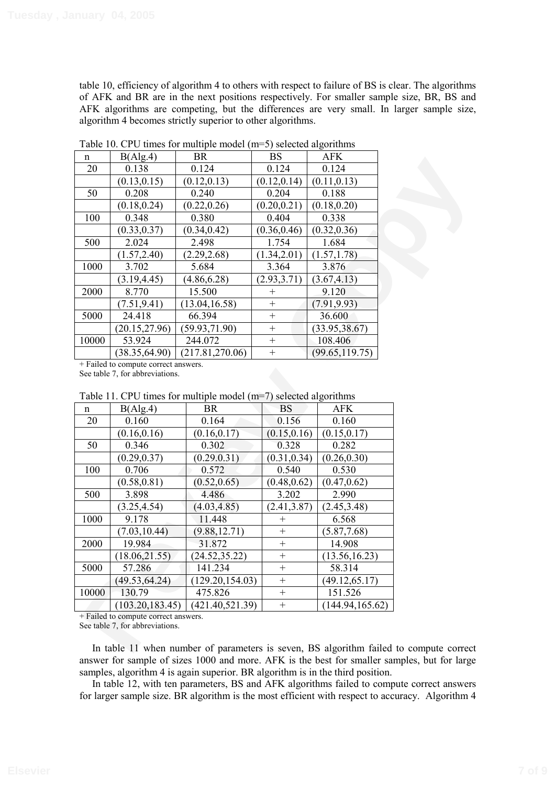table 10, efficiency of algorithm 4 to others with respect to failure of BS is clear. The algorithms of AFK and BR are in the next positions respectively. For smaller sample size, BR, BS and AFK algorithms are competing, but the differences are very small. In larger sample size, algorithm 4 becomes strictly superior to other algorithms.

| n     | B(Alg.4)       | <b>BR</b>        | <b>BS</b>    | <b>AFK</b>      |
|-------|----------------|------------------|--------------|-----------------|
| 20    | 0.138          | 0.124            | 0.124        | 0.124           |
|       | (0.13, 0.15)   | (0.12, 0.13)     | (0.12, 0.14) | (0.11, 0.13)    |
| 50    | 0.208          | 0.240            | 0.204        | 0.188           |
|       | (0.18, 0.24)   | (0.22, 0.26)     | (0.20, 0.21) | (0.18, 0.20)    |
| 100   | 0.348          | 0.380            | 0.404        | 0.338           |
|       | (0.33, 0.37)   | (0.34, 0.42)     | (0.36, 0.46) | (0.32, 0.36)    |
| 500   | 2.024          | 2.498            | 1.754        | 1.684           |
|       | (1.57, 2.40)   | (2.29, 2.68)     | (1.34, 2.01) | (1.57, 1.78)    |
| 1000  | 3.702          | 5.684            | 3.364        | 3.876           |
|       | (3.19, 4.45)   | (4.86, 6.28)     | (2.93, 3.71) | (3.67, 4.13)    |
| 2000  | 8.770          | 15.500           | $^+$         | 9.120           |
|       | (7.51, 9.41)   | (13.04, 16.58)   | $^{+}$       | (7.91, 9.93)    |
| 5000  | 24.418         | 66.394           | $^{+}$       | 36.600          |
|       | (20.15, 27.96) | (59.93, 71.90)   | $^{+}$       | (33.95, 38.67)  |
| 10000 | 53.924         | 244.072          | $^{+}$       | 108.406         |
|       | (38.35, 64.90) | (217.81, 270.06) | $^{+}$       | (99.65, 119.75) |

Table 10. CPU times for multiple model (m=5) selected algorithms

| 11    | D(T15.7)                                                                | DIV.                                                               | ມມ           | LIT IT                                                                                 |
|-------|-------------------------------------------------------------------------|--------------------------------------------------------------------|--------------|----------------------------------------------------------------------------------------|
| 20    | 0.138                                                                   | 0.124                                                              | 0.124        | 0.124                                                                                  |
|       | (0.13, 0.15)                                                            | (0.12, 0.13)                                                       | (0.12, 0.14) | (0.11, 0.13)                                                                           |
| 50    | 0.208                                                                   | 0.240                                                              | 0.204        | 0.188                                                                                  |
|       | (0.18, 0.24)                                                            | (0.22, 0.26)                                                       | (0.20, 0.21) | (0.18, 0.20)                                                                           |
| 100   | 0.348                                                                   | 0.380                                                              | 0.404        | 0.338                                                                                  |
|       | (0.33, 0.37)                                                            | (0.34, 0.42)                                                       | (0.36, 0.46) | (0.32, 0.36)                                                                           |
| 500   | 2.024                                                                   | 2.498                                                              | 1.754        | 1.684                                                                                  |
|       | (1.57, 2.40)                                                            | (2.29, 2.68)                                                       | (1.34, 2.01) | (1.57, 1.78)                                                                           |
| 1000  | 3.702                                                                   | 5.684                                                              | 3.364        | 3.876                                                                                  |
|       | (3.19, 4.45)                                                            | (4.86, 6.28)                                                       | (2.93, 3.71) | (3.67, 4.13)                                                                           |
| 2000  | 8.770                                                                   | 15.500                                                             | $^{+}$       | 9.120                                                                                  |
|       | (7.51, 9.41)                                                            | (13.04, 16.58)                                                     | $\ddot{}$    | (7.91, 9.93)                                                                           |
| 5000  | 24.418                                                                  | 66.394                                                             | $^{+}$       | 36.600                                                                                 |
|       | (20.15, 27.96)                                                          | (59.93, 71.90)                                                     | $^{+}$       | (33.95, 38.67)                                                                         |
| 10000 | 53.924                                                                  | 244.072                                                            | $^{+}$       | 108.406                                                                                |
|       | $\overline{(38.35,64.90)}$                                              | (217.81, 270.06)                                                   | $\ddot{}$    | (99.65, 119.75)                                                                        |
|       | + Failed to compute correct answers.<br>See table 7, for abbreviations. | Table 11. CPU times for multiple model $(m=7)$ selected algorithms |              |                                                                                        |
| n     | B(Alg.4)                                                                | <b>BR</b>                                                          | <b>BS</b>    | <b>AFK</b>                                                                             |
| 20    | 0.160                                                                   | 0.164                                                              | 0.156        | 0.160                                                                                  |
|       | (0.16, 0.16)                                                            | (0.16, 0.17)                                                       | (0.15, 0.16) | (0.15, 0.17)                                                                           |
| 50    | 0.346                                                                   | 0.302                                                              | 0.328        | 0.282                                                                                  |
|       | (0.29, 0.37)                                                            | (0.29.0.31)                                                        | (0.31, 0.34) | (0.26, 0.30)                                                                           |
| 100   | 0.706                                                                   | 0.572                                                              | 0.540        | 0.530                                                                                  |
|       | (0.58, 0.81)                                                            | (0.52, 0.65)                                                       | (0.48, 0.62) | (0.47, 0.62)                                                                           |
| 500   | 3.898                                                                   | 4.486                                                              | 3.202        | 2.990                                                                                  |
|       | (3.25, 4.54)                                                            | (4.03, 4.85)                                                       | (2.41, 3.87) | (2.45, 3.48)                                                                           |
| 1000  | 9.178                                                                   | 11.448                                                             |              | 6.568                                                                                  |
|       | (7.03, 10.44)                                                           | (9.88, 12.71)                                                      | $\! + \!$    | (5.87, 7.68)                                                                           |
| 2000  | 19.984                                                                  | 31.872                                                             | $^{+}$       | 14.908                                                                                 |
|       | (18.06, 21.55)                                                          | (24.52, 35.22)                                                     | $^{+}$       | (13.56, 16.23)                                                                         |
| 5000  | 57.286                                                                  | 141.234                                                            | $^{+}$       | 58.314                                                                                 |
|       | (49.53, 64.24)                                                          | 129.20, 154.03)                                                    | $^{+}$       | (49.12, 65.17)                                                                         |
| 10000 | 130.79                                                                  | 475.826                                                            | $^{+}$       | 151.526                                                                                |
|       | (103.20, 183.45)                                                        | (421.40, 521.39)                                                   | $^{+}$       | (144.94, 165.62)                                                                       |
|       | + Failed to compute correct answers.<br>See table 7, for abbreviations. |                                                                    |              |                                                                                        |
|       |                                                                         |                                                                    |              | In table 11 when number of parameters is seven, BS algorithm failed to compute correct |

Table 11. CPU times for multiple model (m=7) selected algorithms

In table 11 when number of parameters is seven, BS algorithm failed to compute correct answer for sample of sizes 1000 and more. AFK is the best for smaller samples, but for large samples, algorithm 4 is again superior. BR algorithm is in the third position.

In table 12, with ten parameters, BS and AFK algorithms failed to compute correct answers for larger sample size. BR algorithm is the most efficient with respect to accuracy. Algorithm 4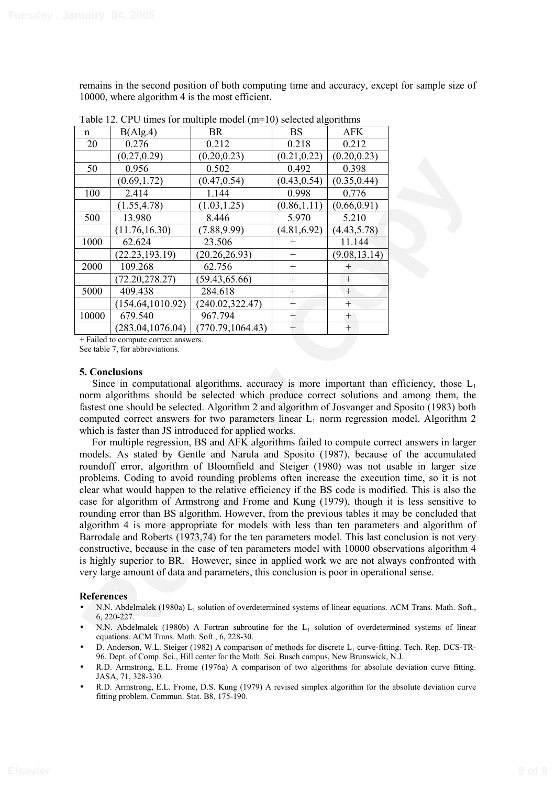remains in the second position of both computing time and accuracy, except for sample size of 10000, where algorithm 4 is the most efficient.

|       |                   | $\sigma$ can community in $\sigma$ and $\sigma$ are $\sigma$ in $\sigma$ is the set of $\sigma$ |              |               |
|-------|-------------------|-------------------------------------------------------------------------------------------------|--------------|---------------|
| n     | B(Alg.4)          | <b>BR</b>                                                                                       | <b>BS</b>    | <b>AFK</b>    |
| 20    | 0.276             | 0.212                                                                                           | 0.218        | 0.212         |
|       | (0.27, 0.29)      | (0.20, 0.23)                                                                                    | (0.21, 0.22) | (0.20, 0.23)  |
| 50    | 0.956             | 0.502                                                                                           | 0.492        | 0.398         |
|       | (0.69, 1.72)      | (0.47, 0.54)                                                                                    | (0.43, 0.54) | (0.35, 0.44)  |
| 100   | 2.414             | 1.144                                                                                           | 0.998        | 0.776         |
|       | (1.55, 4.78)      | (1.03, 1.25)                                                                                    | (0.86, 1.11) | (0.66, 0.91)  |
| 500   | 13.980            | 8.446                                                                                           | 5.970        | 5.210         |
|       | (11.76, 16.30)    | (7.88, 9.99)                                                                                    | (4.81, 6.92) | (4.43, 5.78)  |
| 1000  | 62.624            | 23.506                                                                                          | $^+$         | 11.144        |
|       | (22.23, 193.19)   | (20.26, 26.93)                                                                                  | $^{+}$       | (9.08, 13.14) |
| 2000  | 109.268           | 62.756                                                                                          | $^{+}$       | $^+$          |
|       | (72.20, 278.27)   | (59.43, 65.66)                                                                                  | $^{+}$       | $^{+}$        |
| 5000  | 409.438           | 284.618                                                                                         | $+$          | $^{+}$        |
|       | (154.64, 1010.92) | (240.02, 322.47)                                                                                | $+$          | $^{+}$        |
| 10000 | 679.540           | 967.794                                                                                         | $^{+}$       | $^{+}$        |
|       | (283.04, 1076.04) | (770.79, 1064.43)                                                                               | $+$          | $+$           |

Table 12. CPU times for multiple model (m=10) selected algorithms

+ Failed to compute correct answers. See table 7, for abbreviations.

#### **5. Conclusions**

Since in computational algorithms, accuracy is more important than efficiency, those  $L_1$ norm algorithms should be selected which produce correct solutions and among them, the fastest one should be selected. Algorithm 2 and algorithm of Josvanger and Sposito (1983) both computed correct answers for two parameters linear  $L_1$  norm regression model. Algorithm 2 which is faster than JS introduced for applied works.

50  $\frac{0.962}{0.962}$   $\frac{0.922}{0.394}$   $\frac{0.922}{0.394}$   $\frac{0.922}{0.394}$   $\frac{0.922}{0.394}$   $\frac{0.922}{0.394}$   $\frac{0.922}{0.394}$   $\frac{0.922}{0.394}$   $\frac{0.922}{0.394}$   $\frac{0.922}{0.394}$   $\frac{0.922}{0.394}$   $\frac{0.922}{0.394}$   $\$ For multiple regression, BS and AFK algorithms failed to compute correct answers in larger models. As stated by Gentle and Narula and Sposito (1987), because of the accumulated roundoff error, algorithm of Bloomfield and Steiger (1980) was not usable in larger size problems. Coding to avoid rounding problems often increase the execution time, so it is not clear what would happen to the relative efficiency if the BS code is modified. This is also the case for algorithm of Armstrong and Frome and Kung (1979), though it is less sensitive to rounding error than BS algorithm. However, from the previous tables it may be concluded that algorithm 4 is more appropriate for models with less than ten parameters and algorithm of Barrodale and Roberts (1973,74) for the ten parameters model. This last conclusion is not very constructive, because in the case of ten parameters model with 10000 observations algorithm 4 is highly superior to BR. However, since in applied work we are not always confronted with very large amount of data and parameters, this conclusion is poor in operational sense.

## **References**

- N.N. Abdelmalek (1980a) L<sub>1</sub> solution of overdetermined systems of linear equations. ACM Trans. Math. Soft., 6, 220-227.
- N.N. Abdelmalek (1980b) A Fortran subroutine for the L<sub>1</sub> solution of overdetermined systems of linear equations. ACM Trans. Math. Soft., 6, 228-30.
- D. Anderson, W.L. Steiger (1982) A comparison of methods for discrete L<sub>1</sub> curve-fitting. Tech. Rep. DCS-TR-96. Dept. of Comp. Sci., Hill center for the Math. Sci. Busch campus, New Brunswick, N.J.
- R.D. Armstrong, E.L. Frome (1976a) A comparison of two algorithms for absolute deviation curve fitting. JASA, 71, 328-330.
- R.D. Armstrong, E.L. Frome, D.S. Kung (1979) A revised simplex algorithm for the absolute deviation curve fitting problem. Commun. Stat. B8, 175-190.